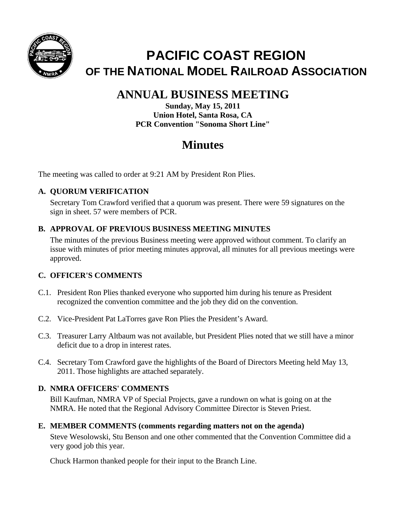

# **PACIFIC COAST REGION OF THE NATIONAL MODEL RAILROAD ASSOCIATION**

# **ANNUAL BUSINESS MEETING**

**Sunday, May 15, 2011 Union Hotel, Santa Rosa, CA PCR Convention "Sonoma Short Line"** 

# **Minutes**

The meeting was called to order at 9:21 AM by President Ron Plies.

# **A. QUORUM VERIFICATION**

Secretary Tom Crawford verified that a quorum was present. There were 59 signatures on the sign in sheet. 57 were members of PCR.

## **B. APPROVAL OF PREVIOUS BUSINESS MEETING MINUTES**

The minutes of the previous Business meeting were approved without comment. To clarify an issue with minutes of prior meeting minutes approval, all minutes for all previous meetings were approved.

### **C. OFFICER'S COMMENTS**

- C.1. President Ron Plies thanked everyone who supported him during his tenure as President recognized the convention committee and the job they did on the convention.
- C.2. Vice-President Pat LaTorres gave Ron Plies the President's Award.
- C.3. Treasurer Larry Altbaum was not available, but President Plies noted that we still have a minor deficit due to a drop in interest rates.
- C.4. Secretary Tom Crawford gave the highlights of the Board of Directors Meeting held May 13, 2011. Those highlights are attached separately.

# **D. NMRA OFFICERS' COMMENTS**

Bill Kaufman, NMRA VP of Special Projects, gave a rundown on what is going on at the NMRA. He noted that the Regional Advisory Committee Director is Steven Priest.

### **E. MEMBER COMMENTS (comments regarding matters not on the agenda)**

Steve Wesolowski, Stu Benson and one other commented that the Convention Committee did a very good job this year.

Chuck Harmon thanked people for their input to the Branch Line.